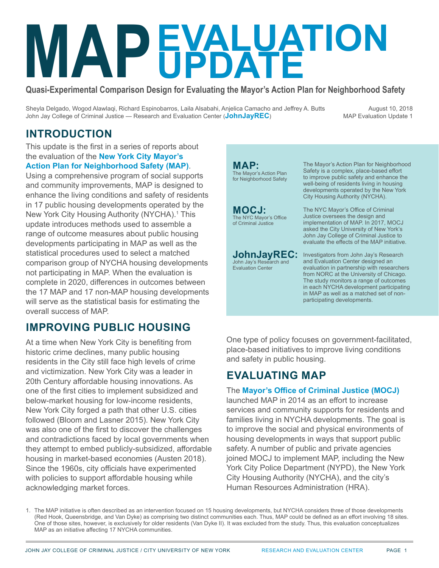# **MARK MARK MARK MARK MARK MEDIA COMPARISON D EVALUATION UPDATE**

**Quasi-Experimental Comparison Design for Evaluating the Mayor's Action Plan for Neighborhood Safety**

**MAP:**

Sheyla Delgado, Wogod Alawlaqi, Richard Espinobarros, Laila Alsabahi, Anjelica Camacho and Jeffrey A. Butts John Jay College of Criminal Justice — Research and Evaluation Center (**[JohnJayREC](http://JohnJayREC.nyc)**)

August 10, 2018 MAP Evaluation Update 1

### **INTRODUCTION**

This update is the first in a series of reports about the evaluation of the **[New York City Mayor's](https://criminaljustice.cityofnewyork.us/programs/map/)  [Action Plan for Neighborhood Safety \(MAP\)](https://criminaljustice.cityofnewyork.us/programs/map/)**.

Using a comprehensive program of social supports and community improvements, MAP is designed to enhance the living conditions and safety of residents in 17 public housing developments operated by the New York City Housing Authority (NYCHA).<sup>1</sup> This update introduces methods used to assemble a range of outcome measures about public housing developments participating in MAP as well as the statistical procedures used to select a matched comparison group of NYCHA housing developments not participating in MAP. When the evaluation is complete in 2020, differences in outcomes between the 17 MAP and 17 non-MAP housing developments will serve as the statistical basis for estimating the overall success of MAP.

### **IMPROVING PUBLIC HOUSING**

At a time when New York City is benefiting from historic crime declines, many public housing residents in the City still face high levels of crime and victimization. New York City was a leader in 20th Century affordable housing innovations. As one of the first cities to implement subsidized and below-market housing for low-income residents, New York City forged a path that other U.S. cities followed (Bloom and Lasner 2015). New York City was also one of the first to discover the challenges and contradictions faced by local governments when they attempt to embed publicly-subsidized, affordable housing in market-based economies (Austen 2018). Since the 1960s, city officials have experimented with policies to support affordable housing while acknowledging market forces.

The Mayor's Action Plan for Neighborhood Safety The Mayor's Action Plan for Neighborhood Safety is a complex, place-based effort to improve public safety and enhance the well-being of residents living in housing developments operated by the New York City Housing Authority (NYCHA). The NYC Mayor's Office of Criminal Justice oversees the design and implementation of MAP. In 2017, MOCJ asked the City University of New York's John Jay College of Criminal Justice to evaluate the effects of the MAP initiative. Investigators from John Jay's Research and Evaluation Center designed an evaluation in partnership with researchers from NORC at the University of Chicago. The study monitors a range of outcomes in each NYCHA development participating in MAP as well as a matched set of non-**MOCJ:** The NYC Mayor's Office of Criminal Justice **JohnJayREC:** John Jay's Research and Evaluation Center

participating developments.

One type of policy focuses on government-facilitated, place-based initiatives to improve living conditions and safety in public housing.

### **EVALUATING MAP**

#### The **[Mayor's Office of Criminal Justice \(MOCJ\)](https://www1.nyc.gov/site/criminaljustice/index.page)**

launched MAP in 2014 as an effort to increase services and community supports for residents and families living in NYCHA developments. The goal is to improve the social and physical environments of housing developments in ways that support public safety. A number of public and private agencies joined MOCJ to implement MAP, including the New York City Police Department (NYPD), the New York City Housing Authority (NYCHA), and the city's Human Resources Administration (HRA).

1. The MAP initiative is often described as an intervention focused on 15 housing developments, but NYCHA considers three of those developments (Red Hook, Queensbridge, and Van Dyke) as comprising two distinct communities each. Thus, MAP could be defined as an effort involving 18 sites. One of those sites, however, is exclusively for older residents (Van Dyke II). It was excluded from the study. Thus, this evaluation conceptualizes MAP as an initiative affecting 17 NYCHA communities.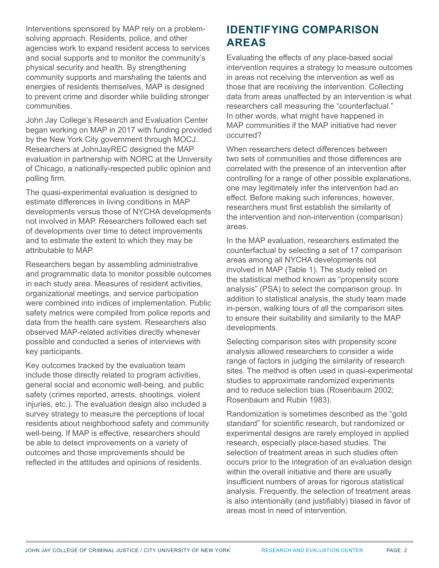Interventions sponsored by MAP rely on a problemsolving approach. Residents, police, and other agencies work to expand resident access to services and social supports and to monitor the community's physical security and health. By strengthening community supports and marshaling the talents and energies of residents themselves, MAP is designed to prevent crime and disorder while building stronger communities.

John Jay College's Research and Evaluation Center began working on MAP in 2017 with funding provided by the New York City government through MOCJ. Researchers at JohnJayREC designed the MAP evaluation in partnership with NORC at the University of Chicago, a nationally-respected public opinion and polling firm.

The quasi-experimental evaluation is designed to estimate differences in living conditions in MAP developments versus those of NYCHA developments not involved in MAP. Researchers followed each set of developments over time to detect improvements and to estimate the extent to which they may be attributable to MAP.

Researchers began by assembling administrative and programmatic data to monitor possible outcomes in each study area. Measures of resident activities, organizational meetings, and service participation were combined into indices of implementation. Public safety metrics were compiled from police reports and data from the health care system. Researchers also observed MAP-related activities directly whenever possible and conducted a series of interviews with key participants.

Key outcomes tracked by the evaluation team include those directly related to program activities, general social and economic well-being, and public safety (crimes reported, arrests, shootings, violent injuries, etc.). The evaluation design also included a survey strategy to measure the perceptions of local residents about neighborhood safety and community well-being. If MAP is effective, researchers should be able to detect improvements on a variety of outcomes and those improvements should be reflected in the attitudes and opinions of residents.

### **IDENTIFYING COMPARISON AREAS**

Evaluating the effects of any place-based social intervention requires a strategy to measure outcomes in areas not receiving the intervention as well as those that are receiving the intervention. Collecting data from areas unaffected by an intervention is what researchers call measuring the "counterfactual." In other words, what might have happened in MAP communities if the MAP initiative had never occurred?

When researchers detect differences between two sets of communities and those differences are correlated with the presence of an intervention after controlling for a range of other possible explanations, one may legitimately infer the intervention had an effect. Before making such inferences, however, researchers must first establish the similarity of the intervention and non-intervention (comparison) areas.

In the MAP evaluation, researchers estimated the counterfactual by selecting a set of 17 comparison areas among all NYCHA developments not involved in MAP (Table 1). The study relied on the statistical method known as "propensity score analysis" (PSA) to select the comparison group. In addition to statistical analysis, the study team made in-person, walking tours of all the comparison sites to ensure their suitability and similarity to the MAP developments.

Selecting comparison sites with propensity score analysis allowed researchers to consider a wide range of factors in judging the similarity of research sites. The method is often used in quasi-experimental studies to approximate randomized experiments and to reduce selection bias (Rosenbaum 2002; Rosenbaum and Rubin 1983).

Randomization is sometimes described as the "gold standard" for scientific research, but randomized or experimental designs are rarely employed in applied research, especially place-based studies. The selection of treatment areas in such studies often occurs prior to the integration of an evaluation design within the overall initiative and there are usually insufficient numbers of areas for rigorous statistical analysis. Frequently, the selection of treatment areas is also intentionally (and justifiably) biased in favor of areas most in need of intervention.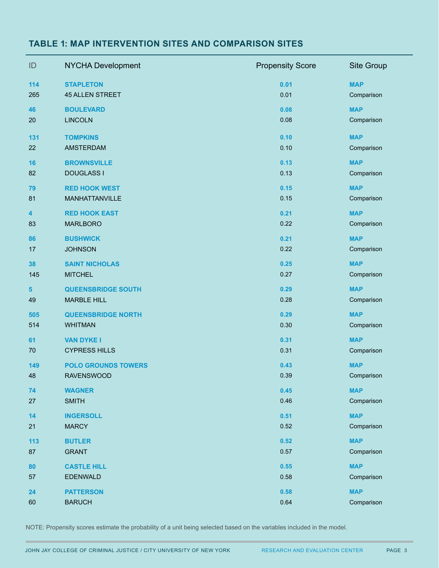#### **TABLE 1: MAP INTERVENTION SITES AND COMPARISON SITES**

| ID                      | <b>NYCHA Development</b>   | <b>Propensity Score</b> | Site Group |
|-------------------------|----------------------------|-------------------------|------------|
| 114                     | <b>STAPLETON</b>           | 0.01                    | <b>MAP</b> |
| 265                     | <b>45 ALLEN STREET</b>     | 0.01                    | Comparison |
| 46                      | <b>BOULEVARD</b>           | 0.08                    | <b>MAP</b> |
| 20                      | <b>LINCOLN</b>             | 0.08                    | Comparison |
| 131                     | <b>TOMPKINS</b>            | 0.10                    | <b>MAP</b> |
| 22                      | <b>AMSTERDAM</b>           | 0.10                    | Comparison |
| 16                      | <b>BROWNSVILLE</b>         | 0.13                    | <b>MAP</b> |
| 82                      | <b>DOUGLASS I</b>          | 0.13                    | Comparison |
| 79                      | <b>RED HOOK WEST</b>       | 0.15                    | <b>MAP</b> |
| 81                      | MANHATTANVILLE             | 0.15                    | Comparison |
| $\overline{\mathbf{4}}$ | <b>RED HOOK EAST</b>       | 0.21                    | <b>MAP</b> |
| 83                      | <b>MARLBORO</b>            | 0.22                    | Comparison |
| 86                      | <b>BUSHWICK</b>            | 0.21                    | <b>MAP</b> |
| 17                      | <b>JOHNSON</b>             | 0.22                    | Comparison |
| 38                      | <b>SAINT NICHOLAS</b>      | 0.25                    | <b>MAP</b> |
| 145                     | <b>MITCHEL</b>             | 0.27                    | Comparison |
| 5                       | <b>QUEENSBRIDGE SOUTH</b>  | 0.29                    | <b>MAP</b> |
| 49                      | <b>MARBLE HILL</b>         | 0.28                    | Comparison |
| 505                     | <b>QUEENSBRIDGE NORTH</b>  | 0.29                    | <b>MAP</b> |
| 514                     | <b>WHITMAN</b>             | 0.30                    | Comparison |
| 61                      | <b>VAN DYKE I</b>          | 0.31                    | <b>MAP</b> |
| 70                      | <b>CYPRESS HILLS</b>       | 0.31                    | Comparison |
| 149                     | <b>POLO GROUNDS TOWERS</b> | 0.43                    | <b>MAP</b> |
| 48                      | <b>RAVENSWOOD</b>          | 0.39                    | Comparison |
| 74                      | <b>WAGNER</b>              | 0.45                    | <b>MAP</b> |
| 27                      | <b>SMITH</b>               | 0.46                    | Comparison |
| 14                      | <b>INGERSOLL</b>           | 0.51                    | <b>MAP</b> |
| 21                      | <b>MARCY</b>               | 0.52                    | Comparison |
| 113                     | <b>BUTLER</b>              | 0.52                    | <b>MAP</b> |
| 87                      | <b>GRANT</b>               | 0.57                    | Comparison |
| 80                      | <b>CASTLE HILL</b>         | 0.55                    | <b>MAP</b> |
| 57                      | <b>EDENWALD</b>            | 0.58                    | Comparison |
| 24                      | <b>PATTERSON</b>           | 0.58                    | <b>MAP</b> |
| 60                      | <b>BARUCH</b>              | 0.64                    | Comparison |

NOTE: Propensity scores estimate the probability of a unit being selected based on the variables included in the model.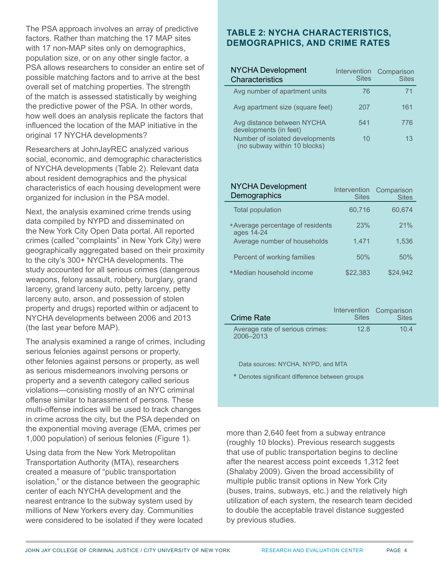The PSA approach involves an array of predictive factors. Rather than matching the 17 MAP sites with 17 non-MAP sites only on demographics, population size, or on any other single factor, a PSA allows researchers to consider an entire set of possible matching factors and to arrive at the best overall set of matching properties. The strength of the match is assessed statistically by weighing the predictive power of the PSA. In other words, how well does an analysis replicate the factors that influenced the location of the MAP initiative in the original 17 NYCHA developments?

Researchers at JohnJayREC analyzed various social, economic, and demographic characteristics of NYCHA developments (Table 2). Relevant data about resident demographics and the physical characteristics of each housing development were organized for inclusion in the PSA model.

Next, the analysis examined crime trends using data compiled by NYPD and disseminated on the New York City Open Data portal. All reported crimes (called "complaints" in New York City) were geographically aggregated based on their proximity to the city's 300+ NYCHA developments. The study accounted for all serious crimes (dangerous weapons, felony assault, robbery, burglary, grand larceny, grand larceny auto, petty larceny, petty larceny auto, arson, and possession of stolen property and drugs) reported within or adjacent to NYCHA developments between 2006 and 2013 (the last year before MAP).

The analysis examined a range of crimes, including serious felonies against persons or property, other felonies against persons or property, as well as serious misdemeanors involving persons or property and a seventh category called serious violations—consisting mostly of an NYC criminal offense similar to harassment of persons. These multi-offense indices will be used to track changes in crime across the city, but the PSA depended on the exponential moving average (EMA, crimes per 1,000 population) of serious felonies (Figure 1).

Using data from the New York Metropolitan Transportation Authority (MTA), researchers created a measure of "public transportation isolation," or the distance between the geographic center of each NYCHA development and the nearest entrance to the subway system used by millions of New Yorkers every day. Communities were considered to be isolated if they were located

#### **TABLE 2: NYCHA CHARACTERISTICS, DEMOGRAPHICS, AND CRIME RATES**

| <b>NYCHA Development</b><br>Characteristics                     | Intervention<br><b>Sites</b> | Comparison<br><b>Sites</b> |
|-----------------------------------------------------------------|------------------------------|----------------------------|
| Avg number of apartment units                                   | 76                           | 71                         |
| Avg apartment size (square feet)                                | 207                          | 161                        |
| Avg distance between NYCHA<br>developments (in feet)            | 541                          | 776                        |
| Number of isolated developments<br>(no subway within 10 blocks) | 10                           | 13                         |

| <b>NYCHA Development</b><br>Demographics        | Intervention<br><b>Sites</b> | Comparison<br><b>Sites</b> |
|-------------------------------------------------|------------------------------|----------------------------|
| <b>Total population</b>                         | 60,716                       | 60,674                     |
| * Average percentage of residents<br>ages 14-24 | 23%                          | 21%                        |
| Average number of households                    | 1,471                        | 1,536                      |
| Percent of working families                     | 50%                          | 50%                        |
| *Median household income                        | \$22,383                     | \$24,942                   |

| <b>Crime Rate</b>                            | <b>Sites</b> | Intervention Comparison<br><b>Sites</b> |
|----------------------------------------------|--------------|-----------------------------------------|
| Average rate of serious crimes:<br>2006-2013 | 128          | 104                                     |

Data sources: NYCHA, NYPD, and MTA

\* Denotes significant difference between groups

more than 2,640 feet from a subway entrance (roughly 10 blocks). Previous research suggests that use of public transportation begins to decline after the nearest access point exceeds 1,312 feet (Shalaby 2009). Given the broad accessibility of multiple public transit options in New York City (buses, trains, subways, etc.) and the relatively high utilization of each system, the research team decided to double the acceptable travel distance suggested by previous studies.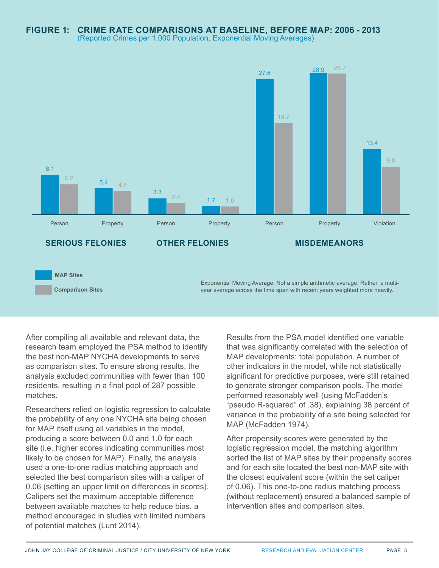

After compiling all available and relevant data, the research team employed the PSA method to identify the best non-MAP NYCHA developments to serve as comparison sites. To ensure strong results, the analysis excluded communities with fewer than 100 residents, resulting in a final pool of 287 possible matches.

Researchers relied on logistic regression to calculate the probability of any one NYCHA site being chosen for MAP itself using all variables in the model, producing a score between 0.0 and 1.0 for each site (i.e. higher scores indicating communities most likely to be chosen for MAP). Finally, the analysis used a one-to-one radius matching approach and selected the best comparison sites with a caliper of 0.06 (setting an upper limit on differences in scores). Calipers set the maximum acceptable difference between available matches to help reduce bias, a method encouraged in studies with limited numbers of potential matches (Lunt 2014).

Results from the PSA model identified one variable that was significantly correlated with the selection of MAP developments: total population. A number of other indicators in the model, while not statistically significant for predictive purposes, were still retained to generate stronger comparison pools. The model performed reasonably well (using McFadden's "pseudo R-squared" of .38), explaining 38 percent of variance in the probability of a site being selected for MAP (McFadden 1974).

After propensity scores were generated by the logistic regression model, the matching algorithm sorted the list of MAP sites by their propensity scores and for each site located the best non-MAP site with the closest equivalent score (within the set caliper of 0.06). This one-to-one radius matching process (without replacement) ensured a balanced sample of intervention sites and comparison sites.